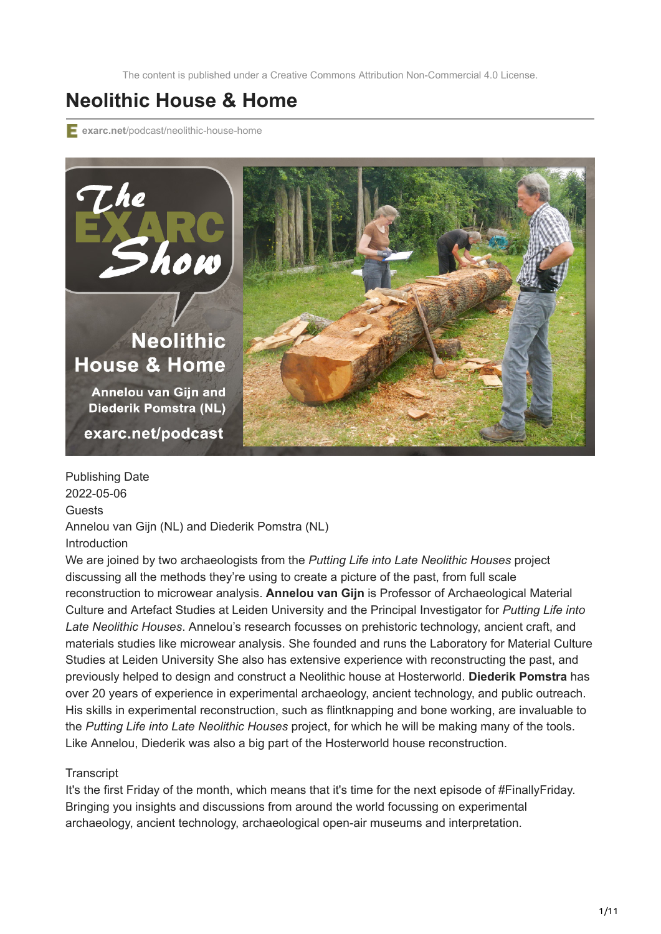The content is published under a Creative Commons Attribution Non-Commercial 4.0 License.

## **Neolithic House & Home**

**exarc.net**[/podcast/neolithic-house-home](https://exarc.net/podcast/neolithic-house-home)



Publishing Date 2022-05-06 Guests Annelou van Gijn (NL) and Diederik Pomstra (NL) Introduction

We are joined by two archaeologists from the *Putting Life into Late Neolithic Houses* project discussing all the methods they're using to create a picture of the past, from full scale reconstruction to microwear analysis. **Annelou van Gijn** is Professor of Archaeological Material Culture and Artefact Studies at Leiden University and the Principal Investigator for *Putting Life into Late Neolithic Houses*. Annelou's research focusses on prehistoric technology, ancient craft, and materials studies like microwear analysis. She founded and runs the Laboratory for Material Culture Studies at Leiden University She also has extensive experience with reconstructing the past, and previously helped to design and construct a Neolithic house at Hosterworld. **Diederik Pomstra** has over 20 years of experience in experimental archaeology, ancient technology, and public outreach. His skills in experimental reconstruction, such as flintknapping and bone working, are invaluable to the *Putting Life into Late Neolithic Houses* project, for which he will be making many of the tools. Like Annelou, Diederik was also a big part of the Hosterworld house reconstruction.

## **Transcript**

It's the first Friday of the month, which means that it's time for the next episode of #FinallyFriday. Bringing you insights and discussions from around the world focussing on experimental archaeology, ancient technology, archaeological open-air museums and interpretation.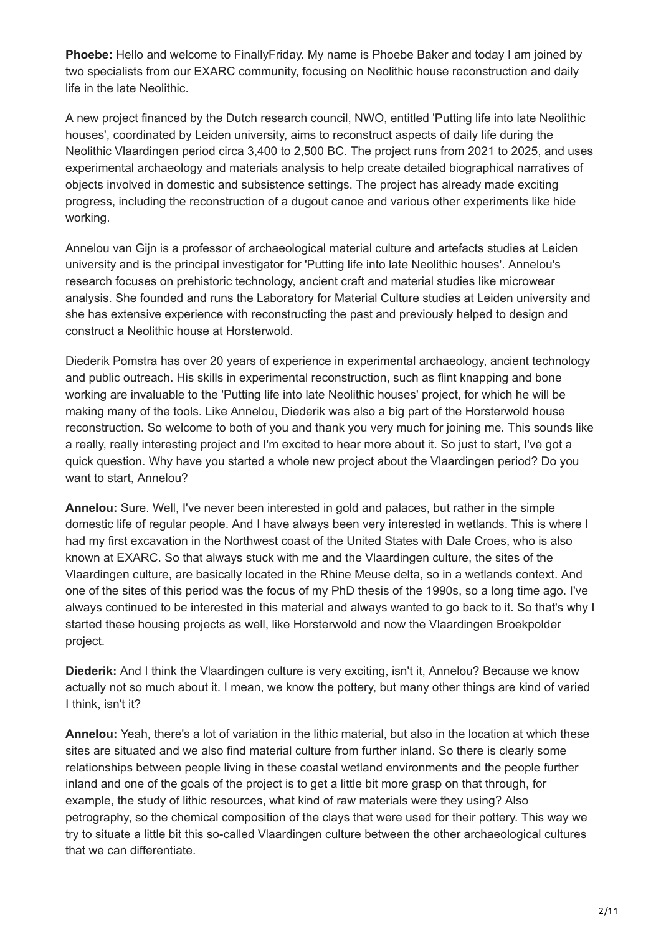**Phoebe:** Hello and welcome to FinallyFriday. My name is Phoebe Baker and today I am joined by two specialists from our EXARC community, focusing on Neolithic house reconstruction and daily life in the late Neolithic.

A new project financed by the Dutch research council, NWO, entitled 'Putting life into late Neolithic houses', coordinated by Leiden university, aims to reconstruct aspects of daily life during the Neolithic Vlaardingen period circa 3,400 to 2,500 BC. The project runs from 2021 to 2025, and uses experimental archaeology and materials analysis to help create detailed biographical narratives of objects involved in domestic and subsistence settings. The project has already made exciting progress, including the reconstruction of a dugout canoe and various other experiments like hide working.

Annelou van Gijn is a professor of archaeological material culture and artefacts studies at Leiden university and is the principal investigator for 'Putting life into late Neolithic houses'. Annelou's research focuses on prehistoric technology, ancient craft and material studies like microwear analysis. She founded and runs the Laboratory for Material Culture studies at Leiden university and she has extensive experience with reconstructing the past and previously helped to design and construct a Neolithic house at Horsterwold.

Diederik Pomstra has over 20 years of experience in experimental archaeology, ancient technology and public outreach. His skills in experimental reconstruction, such as flint knapping and bone working are invaluable to the 'Putting life into late Neolithic houses' project, for which he will be making many of the tools. Like Annelou, Diederik was also a big part of the Horsterwold house reconstruction. So welcome to both of you and thank you very much for joining me. This sounds like a really, really interesting project and I'm excited to hear more about it. So just to start, I've got a quick question. Why have you started a whole new project about the Vlaardingen period? Do you want to start, Annelou?

**Annelou:** Sure. Well, I've never been interested in gold and palaces, but rather in the simple domestic life of regular people. And I have always been very interested in wetlands. This is where I had my first excavation in the Northwest coast of the United States with Dale Croes, who is also known at EXARC. So that always stuck with me and the Vlaardingen culture, the sites of the Vlaardingen culture, are basically located in the Rhine Meuse delta, so in a wetlands context. And one of the sites of this period was the focus of my PhD thesis of the 1990s, so a long time ago. I've always continued to be interested in this material and always wanted to go back to it. So that's why I started these housing projects as well, like Horsterwold and now the Vlaardingen Broekpolder project.

**Diederik:** And I think the Vlaardingen culture is very exciting, isn't it, Annelou? Because we know actually not so much about it. I mean, we know the pottery, but many other things are kind of varied I think, isn't it?

**Annelou:** Yeah, there's a lot of variation in the lithic material, but also in the location at which these sites are situated and we also find material culture from further inland. So there is clearly some relationships between people living in these coastal wetland environments and the people further inland and one of the goals of the project is to get a little bit more grasp on that through, for example, the study of lithic resources, what kind of raw materials were they using? Also petrography, so the chemical composition of the clays that were used for their pottery. This way we try to situate a little bit this so-called Vlaardingen culture between the other archaeological cultures that we can differentiate.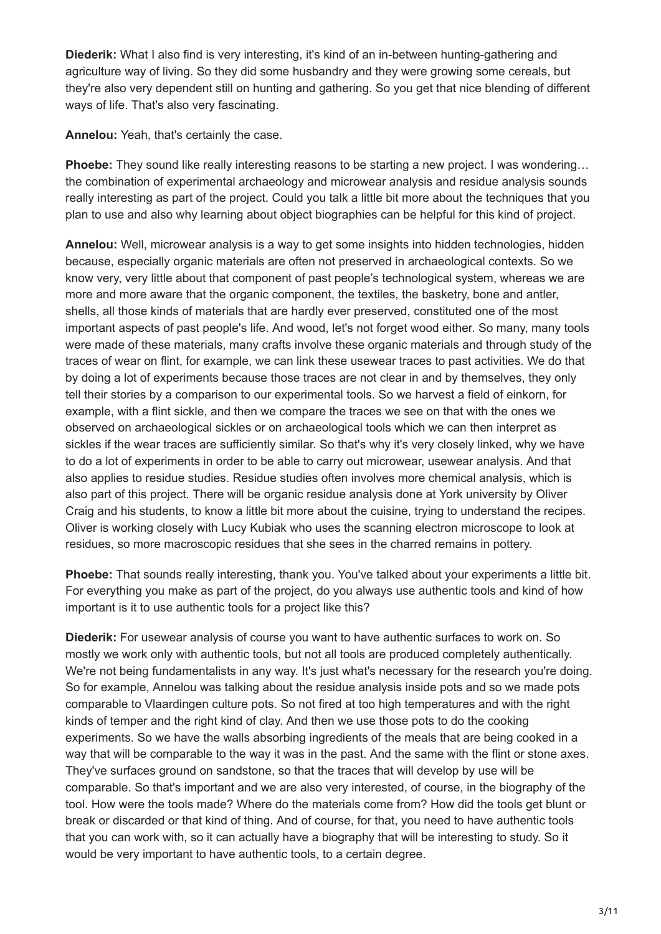**Diederik:** What I also find is very interesting, it's kind of an in-between hunting-gathering and agriculture way of living. So they did some husbandry and they were growing some cereals, but they're also very dependent still on hunting and gathering. So you get that nice blending of different ways of life. That's also very fascinating.

**Annelou:** Yeah, that's certainly the case.

**Phoebe:** They sound like really interesting reasons to be starting a new project. I was wondering… the combination of experimental archaeology and microwear analysis and residue analysis sounds really interesting as part of the project. Could you talk a little bit more about the techniques that you plan to use and also why learning about object biographies can be helpful for this kind of project.

**Annelou:** Well, microwear analysis is a way to get some insights into hidden technologies, hidden because, especially organic materials are often not preserved in archaeological contexts. So we know very, very little about that component of past people's technological system, whereas we are more and more aware that the organic component, the textiles, the basketry, bone and antler, shells, all those kinds of materials that are hardly ever preserved, constituted one of the most important aspects of past people's life. And wood, let's not forget wood either. So many, many tools were made of these materials, many crafts involve these organic materials and through study of the traces of wear on flint, for example, we can link these usewear traces to past activities. We do that by doing a lot of experiments because those traces are not clear in and by themselves, they only tell their stories by a comparison to our experimental tools. So we harvest a field of einkorn, for example, with a flint sickle, and then we compare the traces we see on that with the ones we observed on archaeological sickles or on archaeological tools which we can then interpret as sickles if the wear traces are sufficiently similar. So that's why it's very closely linked, why we have to do a lot of experiments in order to be able to carry out microwear, usewear analysis. And that also applies to residue studies. Residue studies often involves more chemical analysis, which is also part of this project. There will be organic residue analysis done at York university by Oliver Craig and his students, to know a little bit more about the cuisine, trying to understand the recipes. Oliver is working closely with Lucy Kubiak who uses the scanning electron microscope to look at residues, so more macroscopic residues that she sees in the charred remains in pottery.

**Phoebe:** That sounds really interesting, thank you. You've talked about your experiments a little bit. For everything you make as part of the project, do you always use authentic tools and kind of how important is it to use authentic tools for a project like this?

**Diederik:** For usewear analysis of course you want to have authentic surfaces to work on. So mostly we work only with authentic tools, but not all tools are produced completely authentically. We're not being fundamentalists in any way. It's just what's necessary for the research you're doing. So for example, Annelou was talking about the residue analysis inside pots and so we made pots comparable to Vlaardingen culture pots. So not fired at too high temperatures and with the right kinds of temper and the right kind of clay. And then we use those pots to do the cooking experiments. So we have the walls absorbing ingredients of the meals that are being cooked in a way that will be comparable to the way it was in the past. And the same with the flint or stone axes. They've surfaces ground on sandstone, so that the traces that will develop by use will be comparable. So that's important and we are also very interested, of course, in the biography of the tool. How were the tools made? Where do the materials come from? How did the tools get blunt or break or discarded or that kind of thing. And of course, for that, you need to have authentic tools that you can work with, so it can actually have a biography that will be interesting to study. So it would be very important to have authentic tools, to a certain degree.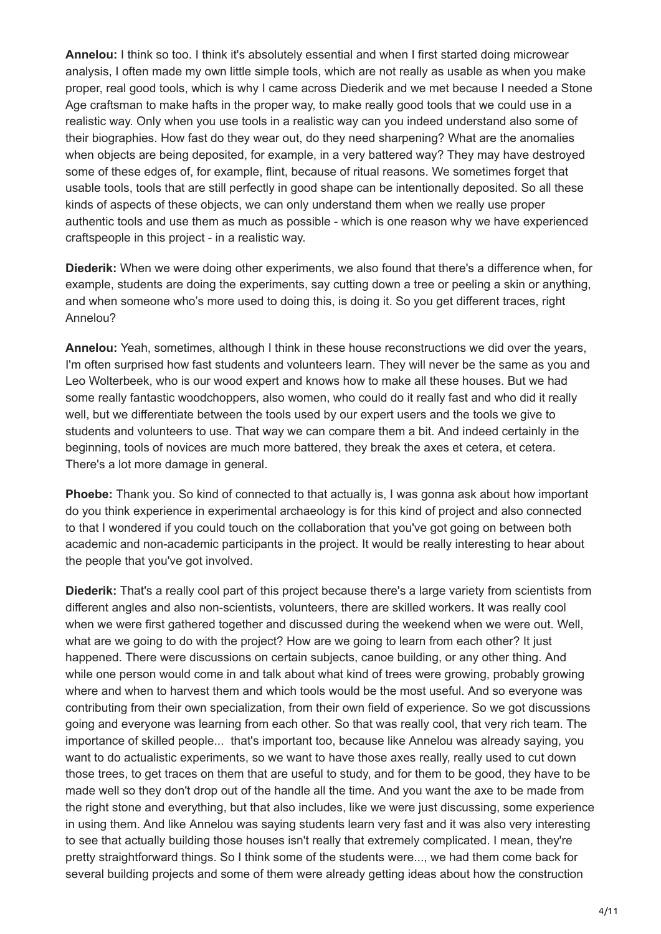**Annelou:** I think so too. I think it's absolutely essential and when I first started doing microwear analysis, I often made my own little simple tools, which are not really as usable as when you make proper, real good tools, which is why I came across Diederik and we met because I needed a Stone Age craftsman to make hafts in the proper way, to make really good tools that we could use in a realistic way. Only when you use tools in a realistic way can you indeed understand also some of their biographies. How fast do they wear out, do they need sharpening? What are the anomalies when objects are being deposited, for example, in a very battered way? They may have destroyed some of these edges of, for example, flint, because of ritual reasons. We sometimes forget that usable tools, tools that are still perfectly in good shape can be intentionally deposited. So all these kinds of aspects of these objects, we can only understand them when we really use proper authentic tools and use them as much as possible - which is one reason why we have experienced craftspeople in this project - in a realistic way.

**Diederik:** When we were doing other experiments, we also found that there's a difference when, for example, students are doing the experiments, say cutting down a tree or peeling a skin or anything, and when someone who's more used to doing this, is doing it. So you get different traces, right Annelou?

**Annelou:** Yeah, sometimes, although I think in these house reconstructions we did over the years, I'm often surprised how fast students and volunteers learn. They will never be the same as you and Leo Wolterbeek, who is our wood expert and knows how to make all these houses. But we had some really fantastic woodchoppers, also women, who could do it really fast and who did it really well, but we differentiate between the tools used by our expert users and the tools we give to students and volunteers to use. That way we can compare them a bit. And indeed certainly in the beginning, tools of novices are much more battered, they break the axes et cetera, et cetera. There's a lot more damage in general.

**Phoebe:** Thank you. So kind of connected to that actually is, I was gonna ask about how important do you think experience in experimental archaeology is for this kind of project and also connected to that I wondered if you could touch on the collaboration that you've got going on between both academic and non-academic participants in the project. It would be really interesting to hear about the people that you've got involved.

**Diederik:** That's a really cool part of this project because there's a large variety from scientists from different angles and also non-scientists, volunteers, there are skilled workers. It was really cool when we were first gathered together and discussed during the weekend when we were out. Well, what are we going to do with the project? How are we going to learn from each other? It just happened. There were discussions on certain subjects, canoe building, or any other thing. And while one person would come in and talk about what kind of trees were growing, probably growing where and when to harvest them and which tools would be the most useful. And so everyone was contributing from their own specialization, from their own field of experience. So we got discussions going and everyone was learning from each other. So that was really cool, that very rich team. The importance of skilled people... that's important too, because like Annelou was already saying, you want to do actualistic experiments, so we want to have those axes really, really used to cut down those trees, to get traces on them that are useful to study, and for them to be good, they have to be made well so they don't drop out of the handle all the time. And you want the axe to be made from the right stone and everything, but that also includes, like we were just discussing, some experience in using them. And like Annelou was saying students learn very fast and it was also very interesting to see that actually building those houses isn't really that extremely complicated. I mean, they're pretty straightforward things. So I think some of the students were..., we had them come back for several building projects and some of them were already getting ideas about how the construction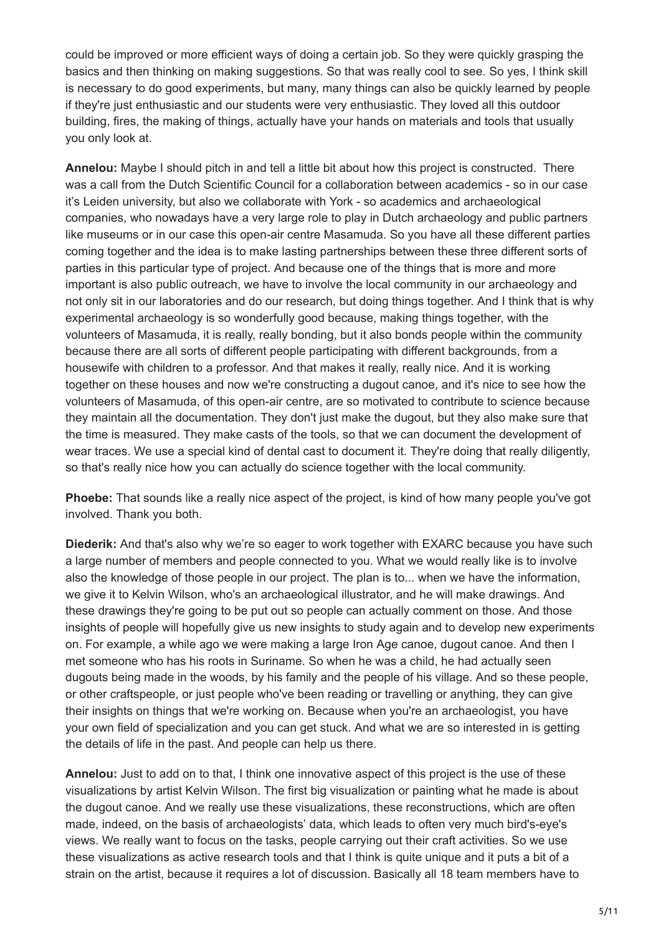could be improved or more efficient ways of doing a certain job. So they were quickly grasping the basics and then thinking on making suggestions. So that was really cool to see. So yes, I think skill is necessary to do good experiments, but many, many things can also be quickly learned by people if they're just enthusiastic and our students were very enthusiastic. They loved all this outdoor building, fires, the making of things, actually have your hands on materials and tools that usually you only look at.

**Annelou:** Maybe I should pitch in and tell a little bit about how this project is constructed. There was a call from the Dutch Scientific Council for a collaboration between academics - so in our case it's Leiden university, but also we collaborate with York - so academics and archaeological companies, who nowadays have a very large role to play in Dutch archaeology and public partners like museums or in our case this open-air centre Masamuda. So you have all these different parties coming together and the idea is to make lasting partnerships between these three different sorts of parties in this particular type of project. And because one of the things that is more and more important is also public outreach, we have to involve the local community in our archaeology and not only sit in our laboratories and do our research, but doing things together. And I think that is why experimental archaeology is so wonderfully good because, making things together, with the volunteers of Masamuda, it is really, really bonding, but it also bonds people within the community because there are all sorts of different people participating with different backgrounds, from a housewife with children to a professor. And that makes it really, really nice. And it is working together on these houses and now we're constructing a dugout canoe, and it's nice to see how the volunteers of Masamuda, of this open-air centre, are so motivated to contribute to science because they maintain all the documentation. They don't just make the dugout, but they also make sure that the time is measured. They make casts of the tools, so that we can document the development of wear traces. We use a special kind of dental cast to document it. They're doing that really diligently, so that's really nice how you can actually do science together with the local community.

**Phoebe:** That sounds like a really nice aspect of the project, is kind of how many people you've got involved. Thank you both.

**Diederik:** And that's also why we're so eager to work together with EXARC because you have such a large number of members and people connected to you. What we would really like is to involve also the knowledge of those people in our project. The plan is to... when we have the information, we give it to Kelvin Wilson, who's an archaeological illustrator, and he will make drawings. And these drawings they're going to be put out so people can actually comment on those. And those insights of people will hopefully give us new insights to study again and to develop new experiments on. For example, a while ago we were making a large Iron Age canoe, dugout canoe. And then I met someone who has his roots in Suriname. So when he was a child, he had actually seen dugouts being made in the woods, by his family and the people of his village. And so these people, or other craftspeople, or just people who've been reading or travelling or anything, they can give their insights on things that we're working on. Because when you're an archaeologist, you have your own field of specialization and you can get stuck. And what we are so interested in is getting the details of life in the past. And people can help us there.

**Annelou:** Just to add on to that, I think one innovative aspect of this project is the use of these visualizations by artist Kelvin Wilson. The first big visualization or painting what he made is about the dugout canoe. And we really use these visualizations, these reconstructions, which are often made, indeed, on the basis of archaeologists' data, which leads to often very much bird's-eye's views. We really want to focus on the tasks, people carrying out their craft activities. So we use these visualizations as active research tools and that I think is quite unique and it puts a bit of a strain on the artist, because it requires a lot of discussion. Basically all 18 team members have to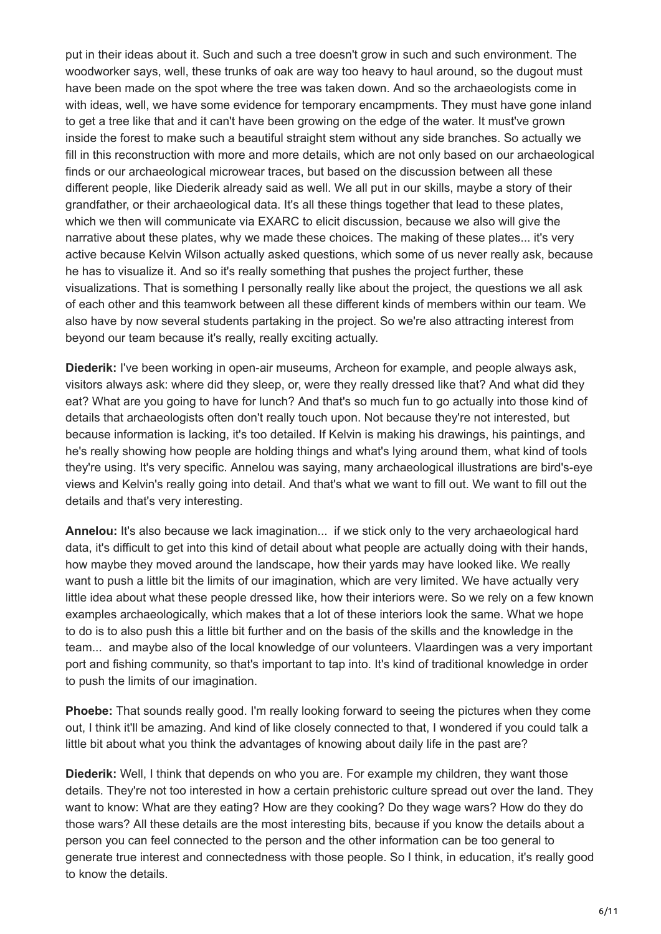put in their ideas about it. Such and such a tree doesn't grow in such and such environment. The woodworker says, well, these trunks of oak are way too heavy to haul around, so the dugout must have been made on the spot where the tree was taken down. And so the archaeologists come in with ideas, well, we have some evidence for temporary encampments. They must have gone inland to get a tree like that and it can't have been growing on the edge of the water. It must've grown inside the forest to make such a beautiful straight stem without any side branches. So actually we fill in this reconstruction with more and more details, which are not only based on our archaeological finds or our archaeological microwear traces, but based on the discussion between all these different people, like Diederik already said as well. We all put in our skills, maybe a story of their grandfather, or their archaeological data. It's all these things together that lead to these plates, which we then will communicate via EXARC to elicit discussion, because we also will give the narrative about these plates, why we made these choices. The making of these plates... it's very active because Kelvin Wilson actually asked questions, which some of us never really ask, because he has to visualize it. And so it's really something that pushes the project further, these visualizations. That is something I personally really like about the project, the questions we all ask of each other and this teamwork between all these different kinds of members within our team. We also have by now several students partaking in the project. So we're also attracting interest from beyond our team because it's really, really exciting actually.

**Diederik:** I've been working in open-air museums, Archeon for example, and people always ask, visitors always ask: where did they sleep, or, were they really dressed like that? And what did they eat? What are you going to have for lunch? And that's so much fun to go actually into those kind of details that archaeologists often don't really touch upon. Not because they're not interested, but because information is lacking, it's too detailed. If Kelvin is making his drawings, his paintings, and he's really showing how people are holding things and what's lying around them, what kind of tools they're using. It's very specific. Annelou was saying, many archaeological illustrations are bird's-eye views and Kelvin's really going into detail. And that's what we want to fill out. We want to fill out the details and that's very interesting.

**Annelou:** It's also because we lack imagination... if we stick only to the very archaeological hard data, it's difficult to get into this kind of detail about what people are actually doing with their hands, how maybe they moved around the landscape, how their yards may have looked like. We really want to push a little bit the limits of our imagination, which are very limited. We have actually very little idea about what these people dressed like, how their interiors were. So we rely on a few known examples archaeologically, which makes that a lot of these interiors look the same. What we hope to do is to also push this a little bit further and on the basis of the skills and the knowledge in the team... and maybe also of the local knowledge of our volunteers. Vlaardingen was a very important port and fishing community, so that's important to tap into. It's kind of traditional knowledge in order to push the limits of our imagination.

**Phoebe:** That sounds really good. I'm really looking forward to seeing the pictures when they come out, I think it'll be amazing. And kind of like closely connected to that, I wondered if you could talk a little bit about what you think the advantages of knowing about daily life in the past are?

**Diederik:** Well, I think that depends on who you are. For example my children, they want those details. They're not too interested in how a certain prehistoric culture spread out over the land. They want to know: What are they eating? How are they cooking? Do they wage wars? How do they do those wars? All these details are the most interesting bits, because if you know the details about a person you can feel connected to the person and the other information can be too general to generate true interest and connectedness with those people. So I think, in education, it's really good to know the details.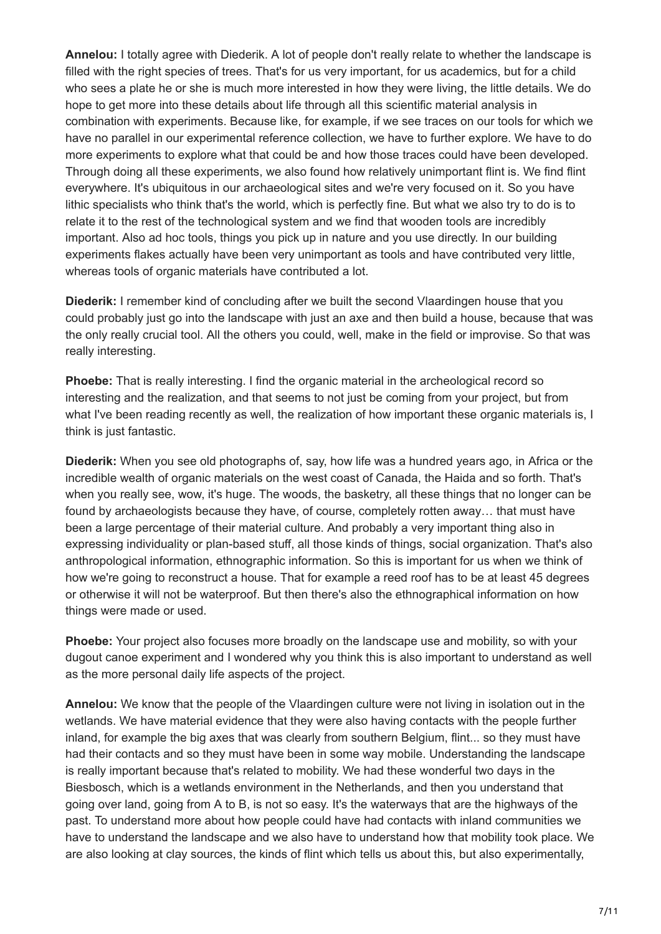**Annelou:** I totally agree with Diederik. A lot of people don't really relate to whether the landscape is filled with the right species of trees. That's for us very important, for us academics, but for a child who sees a plate he or she is much more interested in how they were living, the little details. We do hope to get more into these details about life through all this scientific material analysis in combination with experiments. Because like, for example, if we see traces on our tools for which we have no parallel in our experimental reference collection, we have to further explore. We have to do more experiments to explore what that could be and how those traces could have been developed. Through doing all these experiments, we also found how relatively unimportant flint is. We find flint everywhere. It's ubiquitous in our archaeological sites and we're very focused on it. So you have lithic specialists who think that's the world, which is perfectly fine. But what we also try to do is to relate it to the rest of the technological system and we find that wooden tools are incredibly important. Also ad hoc tools, things you pick up in nature and you use directly. In our building experiments flakes actually have been very unimportant as tools and have contributed very little, whereas tools of organic materials have contributed a lot.

**Diederik:** I remember kind of concluding after we built the second Vlaardingen house that you could probably just go into the landscape with just an axe and then build a house, because that was the only really crucial tool. All the others you could, well, make in the field or improvise. So that was really interesting.

**Phoebe:** That is really interesting. I find the organic material in the archeological record so interesting and the realization, and that seems to not just be coming from your project, but from what I've been reading recently as well, the realization of how important these organic materials is, I think is just fantastic.

**Diederik:** When you see old photographs of, say, how life was a hundred years ago, in Africa or the incredible wealth of organic materials on the west coast of Canada, the Haida and so forth. That's when you really see, wow, it's huge. The woods, the basketry, all these things that no longer can be found by archaeologists because they have, of course, completely rotten away… that must have been a large percentage of their material culture. And probably a very important thing also in expressing individuality or plan-based stuff, all those kinds of things, social organization. That's also anthropological information, ethnographic information. So this is important for us when we think of how we're going to reconstruct a house. That for example a reed roof has to be at least 45 degrees or otherwise it will not be waterproof. But then there's also the ethnographical information on how things were made or used.

**Phoebe:** Your project also focuses more broadly on the landscape use and mobility, so with your dugout canoe experiment and I wondered why you think this is also important to understand as well as the more personal daily life aspects of the project.

**Annelou:** We know that the people of the Vlaardingen culture were not living in isolation out in the wetlands. We have material evidence that they were also having contacts with the people further inland, for example the big axes that was clearly from southern Belgium, flint... so they must have had their contacts and so they must have been in some way mobile. Understanding the landscape is really important because that's related to mobility. We had these wonderful two days in the Biesbosch, which is a wetlands environment in the Netherlands, and then you understand that going over land, going from A to B, is not so easy. It's the waterways that are the highways of the past. To understand more about how people could have had contacts with inland communities we have to understand the landscape and we also have to understand how that mobility took place. We are also looking at clay sources, the kinds of flint which tells us about this, but also experimentally,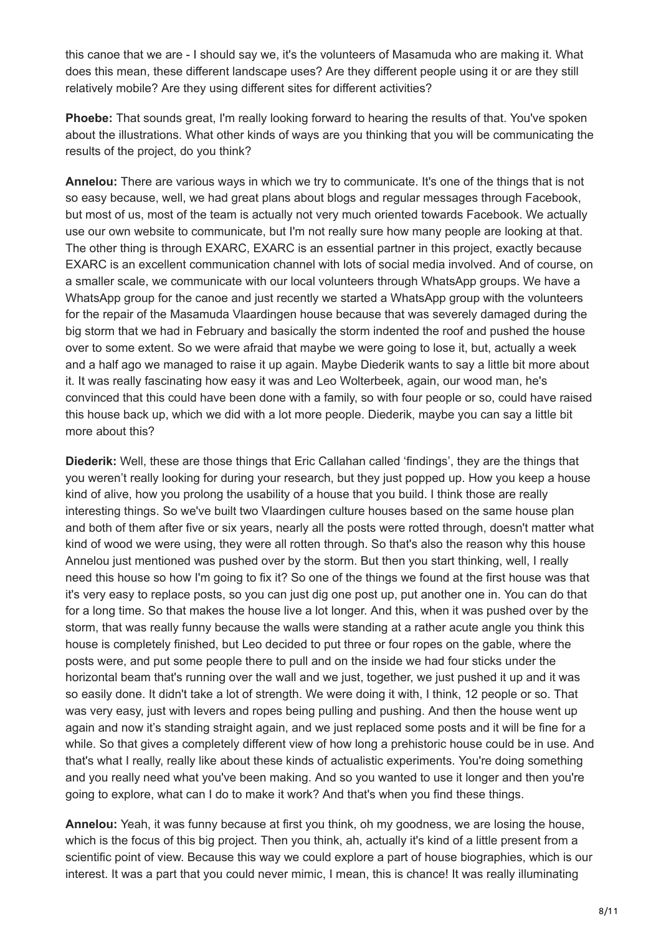this canoe that we are - I should say we, it's the volunteers of Masamuda who are making it. What does this mean, these different landscape uses? Are they different people using it or are they still relatively mobile? Are they using different sites for different activities?

**Phoebe:** That sounds great, I'm really looking forward to hearing the results of that. You've spoken about the illustrations. What other kinds of ways are you thinking that you will be communicating the results of the project, do you think?

**Annelou:** There are various ways in which we try to communicate. It's one of the things that is not so easy because, well, we had great plans about blogs and regular messages through Facebook, but most of us, most of the team is actually not very much oriented towards Facebook. We actually use our own website to communicate, but I'm not really sure how many people are looking at that. The other thing is through EXARC, EXARC is an essential partner in this project, exactly because EXARC is an excellent communication channel with lots of social media involved. And of course, on a smaller scale, we communicate with our local volunteers through WhatsApp groups. We have a WhatsApp group for the canoe and just recently we started a WhatsApp group with the volunteers for the repair of the Masamuda Vlaardingen house because that was severely damaged during the big storm that we had in February and basically the storm indented the roof and pushed the house over to some extent. So we were afraid that maybe we were going to lose it, but, actually a week and a half ago we managed to raise it up again. Maybe Diederik wants to say a little bit more about it. It was really fascinating how easy it was and Leo Wolterbeek, again, our wood man, he's convinced that this could have been done with a family, so with four people or so, could have raised this house back up, which we did with a lot more people. Diederik, maybe you can say a little bit more about this?

**Diederik:** Well, these are those things that Eric Callahan called 'findings', they are the things that you weren't really looking for during your research, but they just popped up. How you keep a house kind of alive, how you prolong the usability of a house that you build. I think those are really interesting things. So we've built two Vlaardingen culture houses based on the same house plan and both of them after five or six years, nearly all the posts were rotted through, doesn't matter what kind of wood we were using, they were all rotten through. So that's also the reason why this house Annelou just mentioned was pushed over by the storm. But then you start thinking, well, I really need this house so how I'm going to fix it? So one of the things we found at the first house was that it's very easy to replace posts, so you can just dig one post up, put another one in. You can do that for a long time. So that makes the house live a lot longer. And this, when it was pushed over by the storm, that was really funny because the walls were standing at a rather acute angle you think this house is completely finished, but Leo decided to put three or four ropes on the gable, where the posts were, and put some people there to pull and on the inside we had four sticks under the horizontal beam that's running over the wall and we just, together, we just pushed it up and it was so easily done. It didn't take a lot of strength. We were doing it with, I think, 12 people or so. That was very easy, just with levers and ropes being pulling and pushing. And then the house went up again and now it's standing straight again, and we just replaced some posts and it will be fine for a while. So that gives a completely different view of how long a prehistoric house could be in use. And that's what I really, really like about these kinds of actualistic experiments. You're doing something and you really need what you've been making. And so you wanted to use it longer and then you're going to explore, what can I do to make it work? And that's when you find these things.

**Annelou:** Yeah, it was funny because at first you think, oh my goodness, we are losing the house, which is the focus of this big project. Then you think, ah, actually it's kind of a little present from a scientific point of view. Because this way we could explore a part of house biographies, which is our interest. It was a part that you could never mimic, I mean, this is chance! It was really illuminating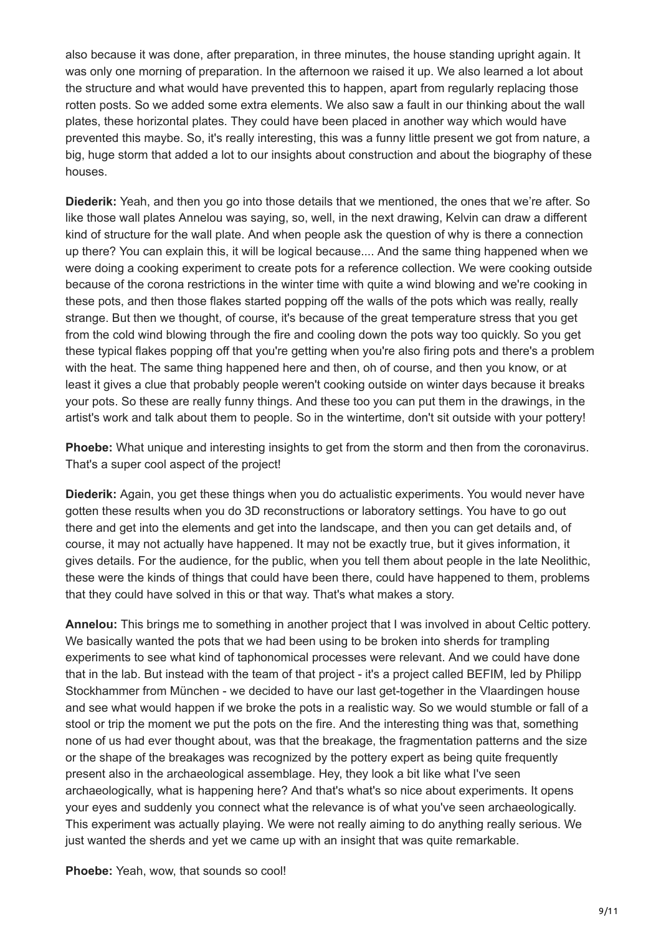also because it was done, after preparation, in three minutes, the house standing upright again. It was only one morning of preparation. In the afternoon we raised it up. We also learned a lot about the structure and what would have prevented this to happen, apart from regularly replacing those rotten posts. So we added some extra elements. We also saw a fault in our thinking about the wall plates, these horizontal plates. They could have been placed in another way which would have prevented this maybe. So, it's really interesting, this was a funny little present we got from nature, a big, huge storm that added a lot to our insights about construction and about the biography of these houses.

**Diederik:** Yeah, and then you go into those details that we mentioned, the ones that we're after. So like those wall plates Annelou was saying, so, well, in the next drawing, Kelvin can draw a different kind of structure for the wall plate. And when people ask the question of why is there a connection up there? You can explain this, it will be logical because.... And the same thing happened when we were doing a cooking experiment to create pots for a reference collection. We were cooking outside because of the corona restrictions in the winter time with quite a wind blowing and we're cooking in these pots, and then those flakes started popping off the walls of the pots which was really, really strange. But then we thought, of course, it's because of the great temperature stress that you get from the cold wind blowing through the fire and cooling down the pots way too quickly. So you get these typical flakes popping off that you're getting when you're also firing pots and there's a problem with the heat. The same thing happened here and then, oh of course, and then you know, or at least it gives a clue that probably people weren't cooking outside on winter days because it breaks your pots. So these are really funny things. And these too you can put them in the drawings, in the artist's work and talk about them to people. So in the wintertime, don't sit outside with your pottery!

**Phoebe:** What unique and interesting insights to get from the storm and then from the coronavirus. That's a super cool aspect of the project!

**Diederik:** Again, you get these things when you do actualistic experiments. You would never have gotten these results when you do 3D reconstructions or laboratory settings. You have to go out there and get into the elements and get into the landscape, and then you can get details and, of course, it may not actually have happened. It may not be exactly true, but it gives information, it gives details. For the audience, for the public, when you tell them about people in the late Neolithic, these were the kinds of things that could have been there, could have happened to them, problems that they could have solved in this or that way. That's what makes a story.

**Annelou:** This brings me to something in another project that I was involved in about Celtic pottery. We basically wanted the pots that we had been using to be broken into sherds for trampling experiments to see what kind of taphonomical processes were relevant. And we could have done that in the lab. But instead with the team of that project - it's a project called BEFIM, led by Philipp Stockhammer from München - we decided to have our last get-together in the Vlaardingen house and see what would happen if we broke the pots in a realistic way. So we would stumble or fall of a stool or trip the moment we put the pots on the fire. And the interesting thing was that, something none of us had ever thought about, was that the breakage, the fragmentation patterns and the size or the shape of the breakages was recognized by the pottery expert as being quite frequently present also in the archaeological assemblage. Hey, they look a bit like what I've seen archaeologically, what is happening here? And that's what's so nice about experiments. It opens your eyes and suddenly you connect what the relevance is of what you've seen archaeologically. This experiment was actually playing. We were not really aiming to do anything really serious. We just wanted the sherds and yet we came up with an insight that was quite remarkable.

**Phoebe:** Yeah, wow, that sounds so cool!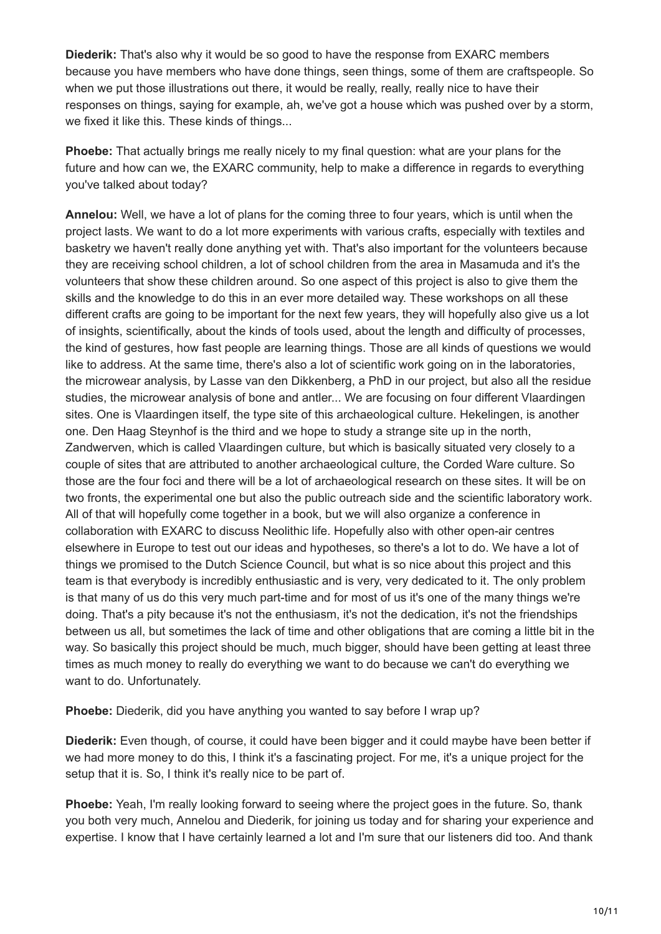**Diederik:** That's also why it would be so good to have the response from EXARC members because you have members who have done things, seen things, some of them are craftspeople. So when we put those illustrations out there, it would be really, really, really nice to have their responses on things, saying for example, ah, we've got a house which was pushed over by a storm, we fixed it like this. These kinds of things...

**Phoebe:** That actually brings me really nicely to my final question: what are your plans for the future and how can we, the EXARC community, help to make a difference in regards to everything you've talked about today?

**Annelou:** Well, we have a lot of plans for the coming three to four years, which is until when the project lasts. We want to do a lot more experiments with various crafts, especially with textiles and basketry we haven't really done anything yet with. That's also important for the volunteers because they are receiving school children, a lot of school children from the area in Masamuda and it's the volunteers that show these children around. So one aspect of this project is also to give them the skills and the knowledge to do this in an ever more detailed way. These workshops on all these different crafts are going to be important for the next few years, they will hopefully also give us a lot of insights, scientifically, about the kinds of tools used, about the length and difficulty of processes, the kind of gestures, how fast people are learning things. Those are all kinds of questions we would like to address. At the same time, there's also a lot of scientific work going on in the laboratories, the microwear analysis, by Lasse van den Dikkenberg, a PhD in our project, but also all the residue studies, the microwear analysis of bone and antler... We are focusing on four different Vlaardingen sites. One is Vlaardingen itself, the type site of this archaeological culture. Hekelingen, is another one. Den Haag Steynhof is the third and we hope to study a strange site up in the north, Zandwerven, which is called Vlaardingen culture, but which is basically situated very closely to a couple of sites that are attributed to another archaeological culture, the Corded Ware culture. So those are the four foci and there will be a lot of archaeological research on these sites. It will be on two fronts, the experimental one but also the public outreach side and the scientific laboratory work. All of that will hopefully come together in a book, but we will also organize a conference in collaboration with EXARC to discuss Neolithic life. Hopefully also with other open-air centres elsewhere in Europe to test out our ideas and hypotheses, so there's a lot to do. We have a lot of things we promised to the Dutch Science Council, but what is so nice about this project and this team is that everybody is incredibly enthusiastic and is very, very dedicated to it. The only problem is that many of us do this very much part-time and for most of us it's one of the many things we're doing. That's a pity because it's not the enthusiasm, it's not the dedication, it's not the friendships between us all, but sometimes the lack of time and other obligations that are coming a little bit in the way. So basically this project should be much, much bigger, should have been getting at least three times as much money to really do everything we want to do because we can't do everything we want to do. Unfortunately.

**Phoebe:** Diederik, did you have anything you wanted to say before I wrap up?

**Diederik:** Even though, of course, it could have been bigger and it could maybe have been better if we had more money to do this, I think it's a fascinating project. For me, it's a unique project for the setup that it is. So, I think it's really nice to be part of.

**Phoebe:** Yeah, I'm really looking forward to seeing where the project goes in the future. So, thank you both very much, Annelou and Diederik, for joining us today and for sharing your experience and expertise. I know that I have certainly learned a lot and I'm sure that our listeners did too. And thank